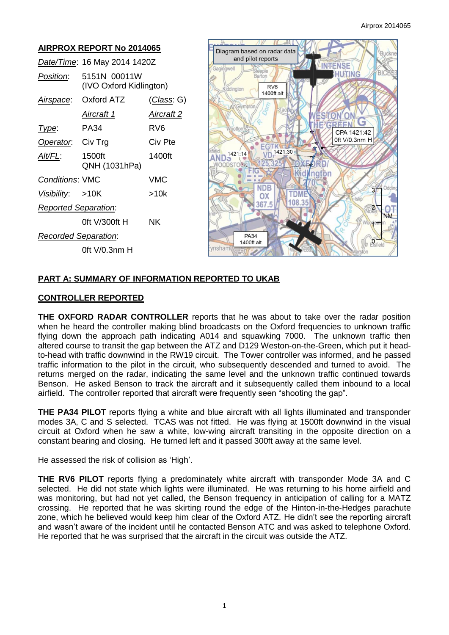| <b>AIRPROX REPORT No 2014065</b> |                                         |                    |
|----------------------------------|-----------------------------------------|--------------------|
| Date/Time: 16 May 2014 1420Z     |                                         |                    |
| <i>Position</i> :                | 5151N 00011W<br>(IVO Oxford Kidlington) |                    |
| <u>Airspace:</u>                 | Oxford ATZ                              | <u>(Class</u> : G) |
|                                  | <u>Aircraft 1</u>                       | <u>Aircraft 2</u>  |
| <u> I ype:</u>                   | PA34                                    | RV6                |
| Operator.                        | Civ Trg                                 | Civ Pte            |
| Alt/FL:                          | 1500ft<br>QNH (1031hPa)                 | 1400ft             |
| <b>Conditions: VMC</b>           |                                         | VMC                |
| Visibility: >10K                 |                                         | >10k               |
| <b>Reported Separation:</b>      |                                         |                    |
|                                  | $0$ ft V/300ft H                        | NK                 |
| Recorded Separation:             |                                         |                    |
|                                  | 0ft $V/0.3$ nm H                        |                    |
|                                  |                                         |                    |



## **PART A: SUMMARY OF INFORMATION REPORTED TO UKAB**

## **CONTROLLER REPORTED**

**THE OXFORD RADAR CONTROLLER** reports that he was about to take over the radar position when he heard the controller making blind broadcasts on the Oxford frequencies to unknown traffic flying down the approach path indicating A014 and squawking 7000. The unknown traffic then altered course to transit the gap between the ATZ and D129 Weston-on-the-Green, which put it headto-head with traffic downwind in the RW19 circuit. The Tower controller was informed, and he passed traffic information to the pilot in the circuit, who subsequently descended and turned to avoid. The returns merged on the radar, indicating the same level and the unknown traffic continued towards Benson. He asked Benson to track the aircraft and it subsequently called them inbound to a local airfield. The controller reported that aircraft were frequently seen "shooting the gap".

**THE PA34 PILOT** reports flying a white and blue aircraft with all lights illuminated and transponder modes 3A, C and S selected. TCAS was not fitted. He was flying at 1500ft downwind in the visual circuit at Oxford when he saw a white, low-wing aircraft transiting in the opposite direction on a constant bearing and closing. He turned left and it passed 300ft away at the same level.

He assessed the risk of collision as 'High'.

**THE RV6 PILOT** reports flying a predominately white aircraft with transponder Mode 3A and C selected. He did not state which lights were illuminated. He was returning to his home airfield and was monitoring, but had not yet called, the Benson frequency in anticipation of calling for a MATZ crossing. He reported that he was skirting round the edge of the Hinton-in-the-Hedges parachute zone, which he believed would keep him clear of the Oxford ATZ. He didn't see the reporting aircraft and wasn't aware of the incident until he contacted Benson ATC and was asked to telephone Oxford. He reported that he was surprised that the aircraft in the circuit was outside the ATZ.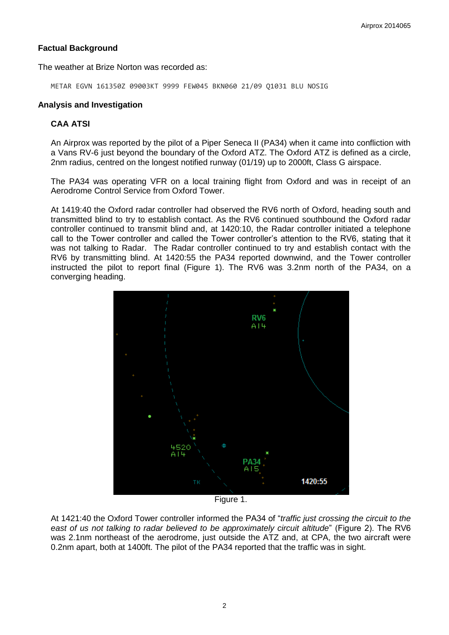## **Factual Background**

The weather at Brize Norton was recorded as:

METAR EGVN 161350Z 09003KT 9999 FEW045 BKN060 21/09 Q1031 BLU NOSIG

## **Analysis and Investigation**

## **CAA ATSI**

An Airprox was reported by the pilot of a Piper Seneca II (PA34) when it came into confliction with a Vans RV-6 just beyond the boundary of the Oxford ATZ. The Oxford ATZ is defined as a circle, 2nm radius, centred on the longest notified runway (01/19) up to 2000ft, Class G airspace.

The PA34 was operating VFR on a local training flight from Oxford and was in receipt of an Aerodrome Control Service from Oxford Tower.

At 1419:40 the Oxford radar controller had observed the RV6 north of Oxford, heading south and transmitted blind to try to establish contact. As the RV6 continued southbound the Oxford radar controller continued to transmit blind and, at 1420:10, the Radar controller initiated a telephone call to the Tower controller and called the Tower controller's attention to the RV6, stating that it was not talking to Radar. The Radar controller continued to try and establish contact with the RV6 by transmitting blind. At 1420:55 the PA34 reported downwind, and the Tower controller instructed the pilot to report final (Figure 1). The RV6 was 3.2nm north of the PA34, on a converging heading.



Figure 1.

At 1421:40 the Oxford Tower controller informed the PA34 of "*traffic just crossing the circuit to the east of us not talking to radar believed to be approximately circuit altitude*" (Figure 2). The RV6 was 2.1nm northeast of the aerodrome, just outside the ATZ and, at CPA, the two aircraft were 0.2nm apart, both at 1400ft. The pilot of the PA34 reported that the traffic was in sight.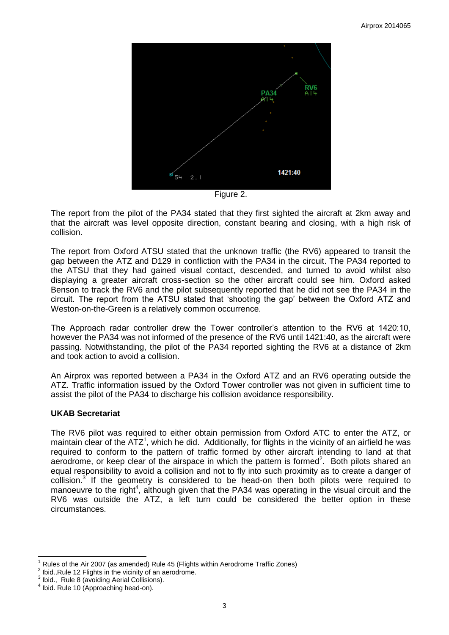

Figure 2.

The report from the pilot of the PA34 stated that they first sighted the aircraft at 2km away and that the aircraft was level opposite direction, constant bearing and closing, with a high risk of collision.

The report from Oxford ATSU stated that the unknown traffic (the RV6) appeared to transit the gap between the ATZ and D129 in confliction with the PA34 in the circuit. The PA34 reported to the ATSU that they had gained visual contact, descended, and turned to avoid whilst also displaying a greater aircraft cross-section so the other aircraft could see him. Oxford asked Benson to track the RV6 and the pilot subsequently reported that he did not see the PA34 in the circuit. The report from the ATSU stated that 'shooting the gap' between the Oxford ATZ and Weston-on-the-Green is a relatively common occurrence.

The Approach radar controller drew the Tower controller's attention to the RV6 at 1420:10, however the PA34 was not informed of the presence of the RV6 until 1421:40, as the aircraft were passing. Notwithstanding, the pilot of the PA34 reported sighting the RV6 at a distance of 2km and took action to avoid a collision.

An Airprox was reported between a PA34 in the Oxford ATZ and an RV6 operating outside the ATZ. Traffic information issued by the Oxford Tower controller was not given in sufficient time to assist the pilot of the PA34 to discharge his collision avoidance responsibility.

## **UKAB Secretariat**

The RV6 pilot was required to either obtain permission from Oxford ATC to enter the ATZ, or maintain clear of the  $ATZ<sup>1</sup>$ , which he did. Additionally, for flights in the vicinity of an airfield he was required to conform to the pattern of traffic formed by other aircraft intending to land at that aerodrome, or keep clear of the airspace in which the pattern is formed<sup>2</sup>. Both pilots shared an equal responsibility to avoid a collision and not to fly into such proximity as to create a danger of collision. $3$  If the geometry is considered to be head-on then both pilots were required to manoeuvre to the right<sup>4</sup>, although given that the PA34 was operating in the visual circuit and the RV6 was outside the ATZ, a left turn could be considered the better option in these circumstances.

 $\overline{a}$ Rules of the Air 2007 (as amended) Rule 45 (Flights within Aerodrome Traffic Zones)

<sup>2</sup> Ibid.,Rule 12 Flights in the vicinity of an aerodrome.

<sup>3</sup> Ibid., Rule 8 (avoiding Aerial Collisions).

<sup>4</sup> Ibid. Rule 10 (Approaching head-on).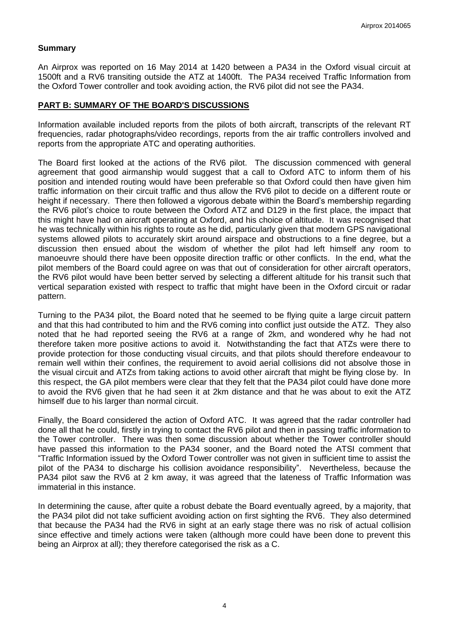#### **Summary**

An Airprox was reported on 16 May 2014 at 1420 between a PA34 in the Oxford visual circuit at 1500ft and a RV6 transiting outside the ATZ at 1400ft. The PA34 received Traffic Information from the Oxford Tower controller and took avoiding action, the RV6 pilot did not see the PA34.

#### **PART B: SUMMARY OF THE BOARD'S DISCUSSIONS**

Information available included reports from the pilots of both aircraft, transcripts of the relevant RT frequencies, radar photographs/video recordings, reports from the air traffic controllers involved and reports from the appropriate ATC and operating authorities.

The Board first looked at the actions of the RV6 pilot. The discussion commenced with general agreement that good airmanship would suggest that a call to Oxford ATC to inform them of his position and intended routing would have been preferable so that Oxford could then have given him traffic information on their circuit traffic and thus allow the RV6 pilot to decide on a different route or height if necessary. There then followed a vigorous debate within the Board's membership regarding the RV6 pilot's choice to route between the Oxford ATZ and D129 in the first place, the impact that this might have had on aircraft operating at Oxford, and his choice of altitude. It was recognised that he was technically within his rights to route as he did, particularly given that modern GPS navigational systems allowed pilots to accurately skirt around airspace and obstructions to a fine degree, but a discussion then ensued about the wisdom of whether the pilot had left himself any room to manoeuvre should there have been opposite direction traffic or other conflicts. In the end, what the pilot members of the Board could agree on was that out of consideration for other aircraft operators, the RV6 pilot would have been better served by selecting a different altitude for his transit such that vertical separation existed with respect to traffic that might have been in the Oxford circuit or radar pattern.

Turning to the PA34 pilot, the Board noted that he seemed to be flying quite a large circuit pattern and that this had contributed to him and the RV6 coming into conflict just outside the ATZ. They also noted that he had reported seeing the RV6 at a range of 2km, and wondered why he had not therefore taken more positive actions to avoid it. Notwithstanding the fact that ATZs were there to provide protection for those conducting visual circuits, and that pilots should therefore endeavour to remain well within their confines, the requirement to avoid aerial collisions did not absolve those in the visual circuit and ATZs from taking actions to avoid other aircraft that might be flying close by. In this respect, the GA pilot members were clear that they felt that the PA34 pilot could have done more to avoid the RV6 given that he had seen it at 2km distance and that he was about to exit the ATZ himself due to his larger than normal circuit.

Finally, the Board considered the action of Oxford ATC. It was agreed that the radar controller had done all that he could, firstly in trying to contact the RV6 pilot and then in passing traffic information to the Tower controller. There was then some discussion about whether the Tower controller should have passed this information to the PA34 sooner, and the Board noted the ATSI comment that "Traffic Information issued by the Oxford Tower controller was not given in sufficient time to assist the pilot of the PA34 to discharge his collision avoidance responsibility". Nevertheless, because the PA34 pilot saw the RV6 at 2 km away, it was agreed that the lateness of Traffic Information was immaterial in this instance.

In determining the cause, after quite a robust debate the Board eventually agreed, by a majority, that the PA34 pilot did not take sufficient avoiding action on first sighting the RV6. They also determined that because the PA34 had the RV6 in sight at an early stage there was no risk of actual collision since effective and timely actions were taken (although more could have been done to prevent this being an Airprox at all); they therefore categorised the risk as a C.